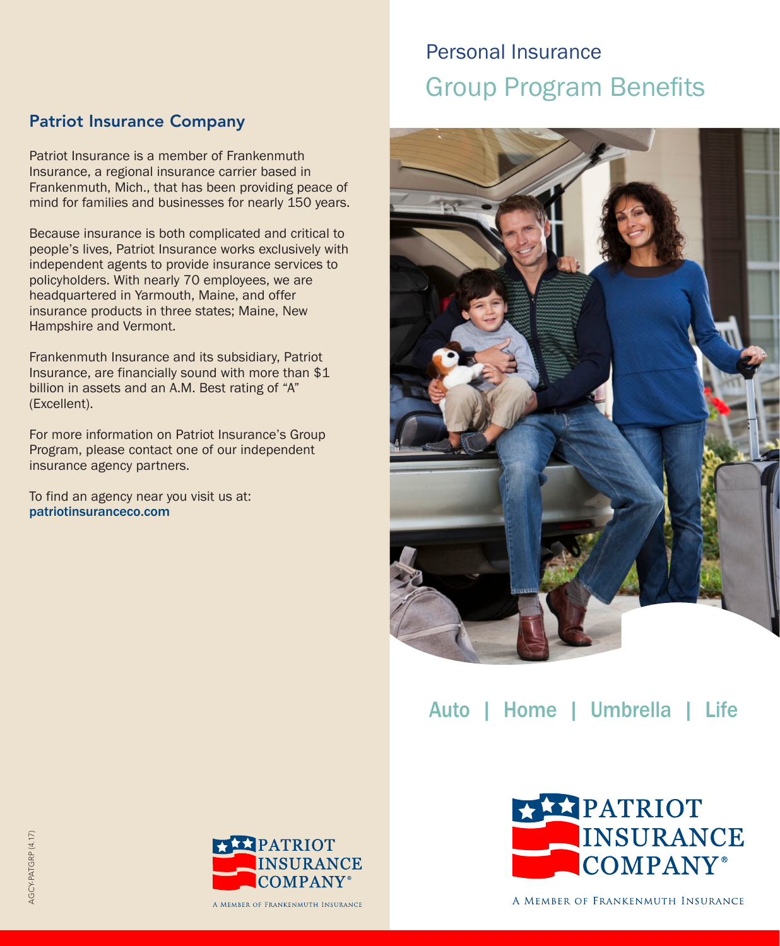## Patriot Insurance Company

Patriot Insurance is a member of Frankenmuth Insurance, a regional insurance carrier based in Frankenmuth, Mich., that has been providing peace of mind for families and businesses for nearly 150 years.

Because insurance is both complicated and critical to people's lives, Patriot Insurance works exclusively with independent agents to provide insurance services to policyholders. With nearly 70 employees, we are headquartered in Yarmouth, Maine, and offer insurance products in three states; Maine, New Hampshire and Vermont.

Frankenmuth Insurance and its subsidiary, Patriot Insurance, are financially sound with more than \$1 billion in assets and an A.M. Best rating of "A" (Excellent).

For more information on Patriot Insurance's Group Program, please contact one of our independent insurance agency partners.

To find an agency near you visit us at: patriotinsuranceco.com

# Personal Insurance Group Program Benefits



Auto | Home | Umbrella | Life





A MEMBER OF FRANKENMUTH INSURANCE